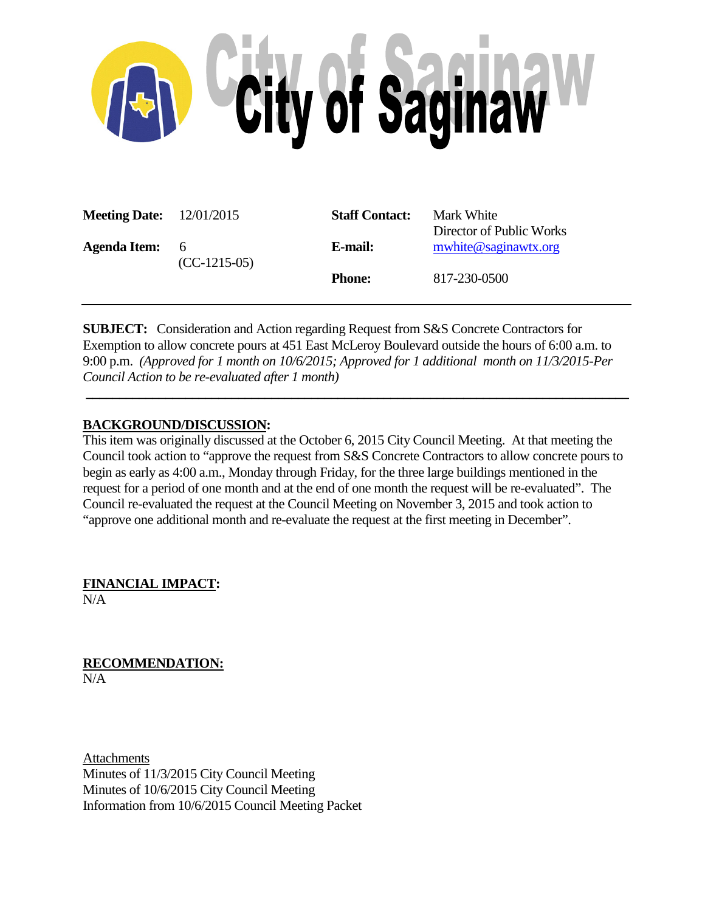

| <b>Meeting Date:</b> $12/01/2015$ |                       | <b>Staff Contact:</b> | Mark White<br>Director of Public Works |
|-----------------------------------|-----------------------|-----------------------|----------------------------------------|
| <b>Agenda Item:</b>               | - 6<br>$(CC-1215-05)$ | E-mail:               | mwhite@saginawtx.org                   |
|                                   |                       | <b>Phone:</b>         | 817-230-0500                           |

**SUBJECT:** Consideration and Action regarding Request from S&S Concrete Contractors for Exemption to allow concrete pours at 451 East McLeroy Boulevard outside the hours of 6:00 a.m. to 9:00 p.m. *(Approved for 1 month on 10/6/2015; Approved for 1 additional month on 11/3/2015-Per Council Action to be re-evaluated after 1 month)*

**\_\_\_\_\_\_\_\_\_\_\_\_\_\_\_\_\_\_\_\_\_\_\_\_\_\_\_\_\_\_\_\_\_\_\_\_\_\_\_\_\_\_\_\_\_\_\_\_\_\_\_\_\_\_\_\_\_\_\_\_\_\_\_\_\_\_\_\_\_\_\_\_\_\_\_\_\_\_\_\_\_\_**

# **BACKGROUND/DISCUSSION:**

This item was originally discussed at the October 6, 2015 City Council Meeting. At that meeting the Council took action to "approve the request from S&S Concrete Contractors to allow concrete pours to begin as early as 4:00 a.m., Monday through Friday, for the three large buildings mentioned in the request for a period of one month and at the end of one month the request will be re-evaluated". The Council re-evaluated the request at the Council Meeting on November 3, 2015 and took action to "approve one additional month and re-evaluate the request at the first meeting in December".

**FINANCIAL IMPACT:**  $N/A$ 

**RECOMMENDATION:**  $N/A$ 

Attachments Minutes of 11/3/2015 City Council Meeting Minutes of 10/6/2015 City Council Meeting Information from 10/6/2015 Council Meeting Packet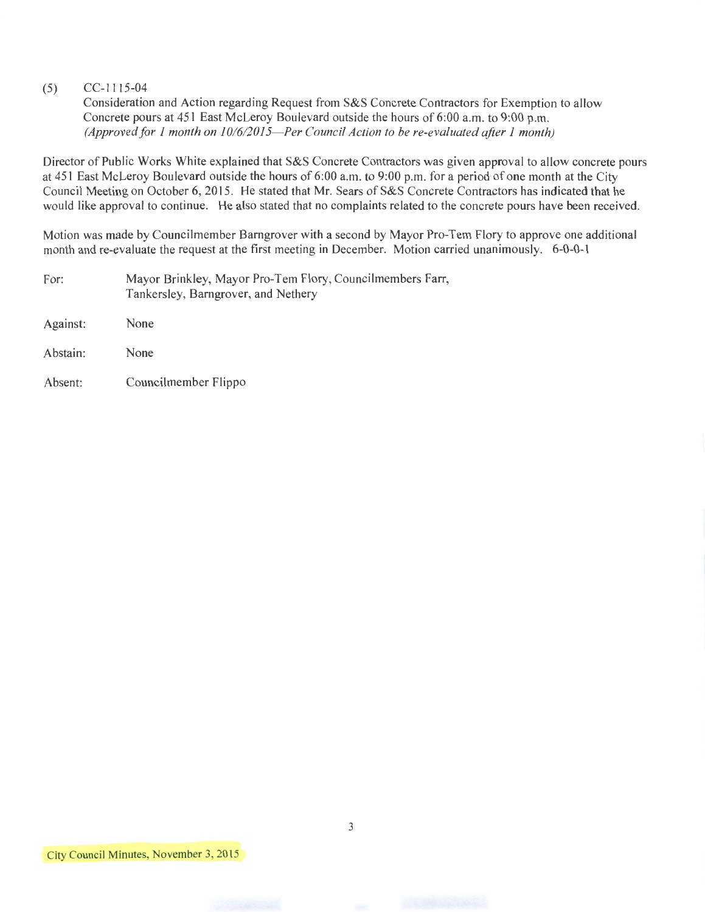## (5) CC-1115-04

Consideration and Action regarding Request from S&S Concrete Contractors for Exemption to allow Concrete pours at 451 East McLeroy Boulevard outside the hours of 6:00 a.m. to 9:00 p.m. *(Approved for 1 month on 10/6/2015-Per Council Action to be re-evaluated after 1 month)* 

Director of Public Works White explained that S&S Concrete Contractors was given approval to allow concrete pours at 451 East McLeroy Boulevard outside the hours of 6:00 a.m. to 9:00 p.m. for a period of one month at the City Council Meeting on October 6, 2015. He stated that Mr. Sears of S&S Concrete Contractors has indicated that he would like approval to continue. He also stated that no complaints related to the concrete pours have been received.

Motion was made by Councilmember Barngrover with a second by Mayor Pro-Tem Flory to approve one additional month and re-evaluate the request at the first meeting in December. Motion carried unanimously. 6-0-0-1

For: Mayor Brinkley, Mayor Pro-Tem Flory, Councilmembers Farr, Tankersley, Barngrover, and Nethery

Against: None

Abstain: None

Absent: Councilmember Flippo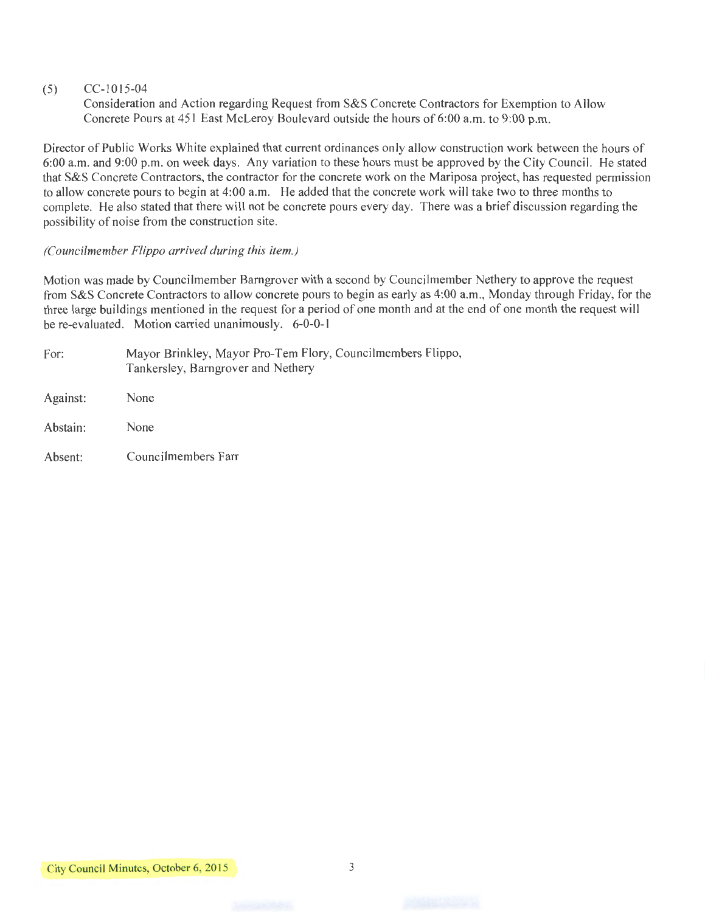## (5) CC-1015-04

Consideration and Action regarding Request from S&S Concrete Contractors for Exemption to Allow Concrete Pours at 451 East McLeroy Boulevard outside the hours of 6:00 a.m. to 9:00 p.m.

Director of Public Works White explained that current ordinances only allow construction work between the hours of 6:00 a.m. and 9:00 p.m. on week days. Any variation to these hours must be approved by the City Council. He stated that S&S Concrete Contractors, the contractor for the concrete work on the Mariposa project, has requested permission to allow concrete pours to begin at 4:00 a.m. He added that the concrete work will take two to three months to complete. He also stated that there will not be concrete pours every day. There was a brief discussion regarding the possibility of noise from the construction site.

## *(Councilmember Flippo arrived during this item.)*

Motion was made by Councilmember Bamgrover with a second by Councilmember Nethery to approve the request from S&S Concrete Contractors to allow concrete pours to begin as early as 4:00 a.m., Monday through Friday, for the three large buildings mentioned in the request for a period of one month and at the end of one month the request will be re-evaluated. Motion carried unanimously. 6-0-0-1

| For:     | Mayor Brinkley, Mayor Pro-Tem Flory, Councilmembers Flippo,<br>Tankersley, Barngrover and Nethery |  |  |
|----------|---------------------------------------------------------------------------------------------------|--|--|
| Against: | None                                                                                              |  |  |
| Abstain: | None                                                                                              |  |  |
| Absent:  | Councilmembers Farr                                                                               |  |  |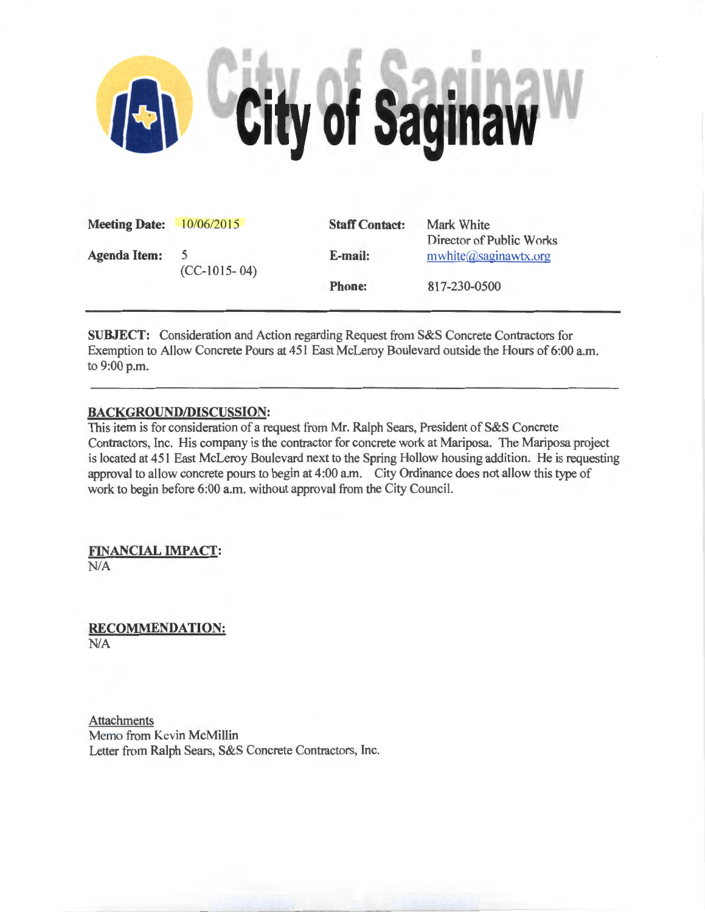

| <b>Meeting Date:</b> 10/06/2015 |                | <b>Staff Contact:</b> | Mark White                                       |
|---------------------------------|----------------|-----------------------|--------------------------------------------------|
| <b>Agenda Item:</b>             | $(CC-1015-04)$ | E-mail:               | Director of Public Works<br>mwhite@saginawtx.org |
|                                 |                | <b>Phone:</b>         | 817-230-0500                                     |
|                                 |                |                       |                                                  |

SUBJECT: Consideration and Action regarding Request from S&S Concrete Contractors for Exemption to Allow Concrete Pours at 451 East McLeroy Boulevard outside the Hours of 6:00 a.m. to 9:00 p.m.

## BACKGROUND/DISCUSSION:

This item is for consideration of a request from Mr. Ralph Sears, President of S&S Concrete Contractors, Inc. His company is the contractor for concrete work at Mariposa. The Mariposa project is located at 451 East McLeroy Boulevard next to the Spring Hollow housing addition. He is requesting approval to allow concrete pours to begin at 4:00a.m. City Ordinance does not allow this type of work to begin before 6:00 a.m. without approval from the City Council.

FINANCIAL IMPACT: N/A

RECOMMENDATION: N/A

Attachments Memo from Kevin McMillin Letter from Ralph Sears, S&S Concrete Contractors, Inc.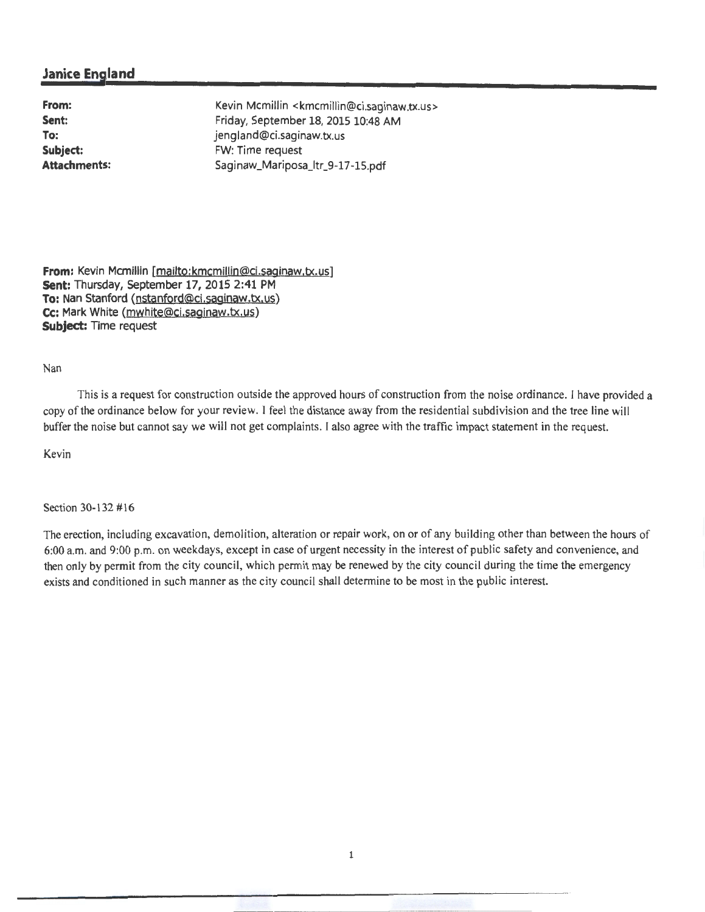# **Janice England**

**From: Sent: To: Subject: Attachments:**  Kevin Mcmillin <kmcmillin@ci.saginaw.tx.us> Friday, September 18, 2015 10:48 AM jengland@ci.saginaw.tx.us FW: Time request Saginaw\_Mariposa\_ltr\_9-17 -15.pdf

**From:** Kevin Mcmillin [mailto:kmcmillin@ci.saginaw.tx.us] **sent:** Thursday, September 17, 2015 2:41 PM **To:** Nan Stanford (nstanford@cj.saginaw.tx.us) **Cc:** Mark White (mwhite@ci.saginaw.tx.us) **Subject:** Time request

#### Nan

This is a request for construction outside the approved hours of construction from the noise ordinance. I have provided a copy of the ordinance below for your review. I feel the distance away from the residential subdivision and the tree line will buffer the noise but cannot say we will not get complaints. I also agree with the traffic impact statement in the request.

Kevin

Section 30-132 #16

The erection, including excavation, demolition, alteration or repair work, on or of any building other than between the hours of 6:00 a.m. and 9:00 p.m. on weekdays, except in case of urgent necessity in the interest of public safety and convenience, and then only by permit from the city council, which permit may be renewed by the city council during the time the emergency exists and conditioned in such manner as the city council shall determine to be most in the public interest.